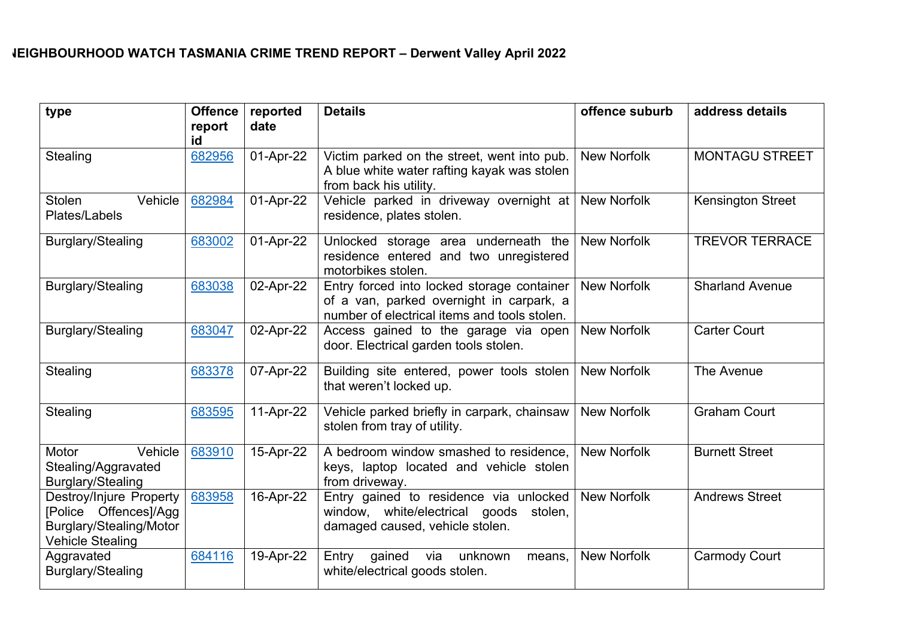## **NEIGHBOURHOOD WATCH TASMANIA CRIME TREND REPORT – Derwent Valley April 2022**

| type                                                                                                   | <b>Offence</b><br>report<br>id | reported<br>date | <b>Details</b>                                                                                                                         | offence suburb     | address details          |
|--------------------------------------------------------------------------------------------------------|--------------------------------|------------------|----------------------------------------------------------------------------------------------------------------------------------------|--------------------|--------------------------|
| Stealing                                                                                               | 682956                         | 01-Apr-22        | Victim parked on the street, went into pub.<br>A blue white water rafting kayak was stolen<br>from back his utility.                   | <b>New Norfolk</b> | <b>MONTAGU STREET</b>    |
| Vehicle<br><b>Stolen</b><br>Plates/Labels                                                              | 682984                         | 01-Apr-22        | Vehicle parked in driveway overnight at New Norfolk<br>residence, plates stolen.                                                       |                    | <b>Kensington Street</b> |
| <b>Burglary/Stealing</b>                                                                               | 683002                         | 01-Apr-22        | Unlocked storage area underneath the<br>residence entered and two unregistered<br>motorbikes stolen.                                   | <b>New Norfolk</b> | <b>TREVOR TERRACE</b>    |
| <b>Burglary/Stealing</b>                                                                               | 683038                         | 02-Apr-22        | Entry forced into locked storage container<br>of a van, parked overnight in carpark, a<br>number of electrical items and tools stolen. | <b>New Norfolk</b> | <b>Sharland Avenue</b>   |
| <b>Burglary/Stealing</b>                                                                               | 683047                         | 02-Apr-22        | Access gained to the garage via open<br>door. Electrical garden tools stolen.                                                          | <b>New Norfolk</b> | <b>Carter Court</b>      |
| Stealing                                                                                               | 683378                         | 07-Apr-22        | Building site entered, power tools stolen  <br>that weren't locked up.                                                                 | <b>New Norfolk</b> | The Avenue               |
| Stealing                                                                                               | 683595                         | 11-Apr-22        | Vehicle parked briefly in carpark, chainsaw<br>stolen from tray of utility.                                                            | <b>New Norfolk</b> | <b>Graham Court</b>      |
| Vehicle<br>Motor<br>Stealing/Aggravated<br>Burglary/Stealing                                           | 683910                         | 15-Apr-22        | A bedroom window smashed to residence,<br>keys, laptop located and vehicle stolen<br>from driveway.                                    | <b>New Norfolk</b> | <b>Burnett Street</b>    |
| Destroy/Injure Property<br>[Police Offences]/Agg<br>Burglary/Stealing/Motor<br><b>Vehicle Stealing</b> | 683958                         | 16-Apr-22        | Entry gained to residence via unlocked<br>window, white/electrical goods stolen,<br>damaged caused, vehicle stolen.                    | <b>New Norfolk</b> | <b>Andrews Street</b>    |
| Aggravated<br><b>Burglary/Stealing</b>                                                                 | 684116                         | 19-Apr-22        | gained<br>via<br>unknown<br>Entry<br>means,<br>white/electrical goods stolen.                                                          | <b>New Norfolk</b> | <b>Carmody Court</b>     |